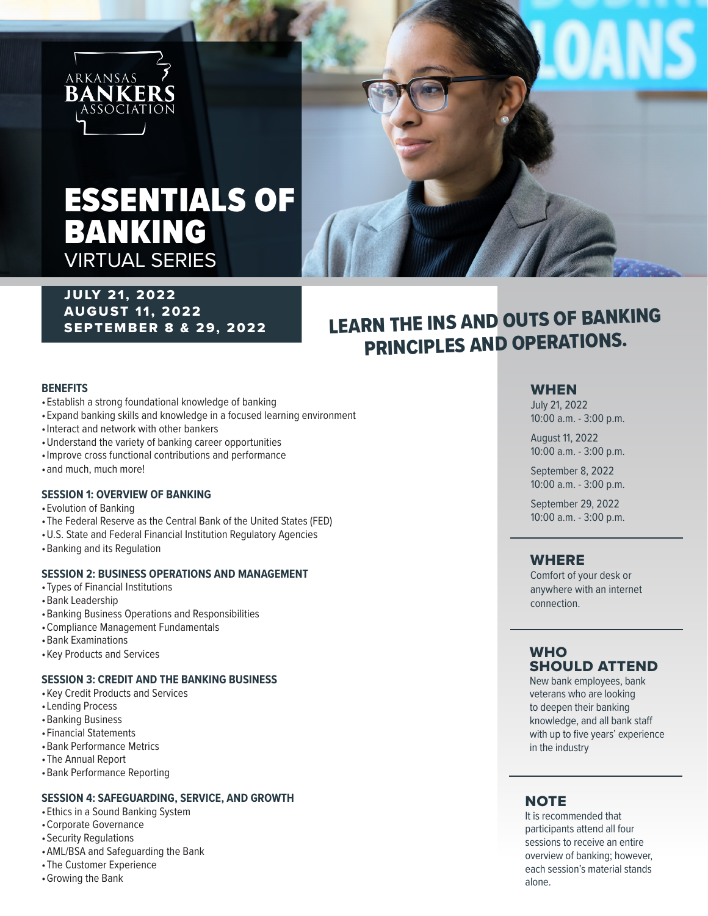

# ESSENTIALS OF BANKING VIRTUAL SERIES

## **JULY 21, 2022** AUGUST 11, 2022 SEPTEMBER 8 & 29, 2022

## LEARN THE INS AND OUTS OF BANKING PRINCIPLES AND OPERATIONS.

#### **BENEFITS**

- •Establish a strong foundational knowledge of banking
- •Expand banking skills and knowledge in a focused learning environment
- •Interact and network with other bankers
- •Understand the variety of banking career opportunities
- •Improve cross functional contributions and performance
- •and much, much more!

#### **SESSION 1: OVERVIEW OF BANKING**

- •Evolution of Banking
- •The Federal Reserve as the Central Bank of the United States (FED)
- •U.S. State and Federal Financial Institution Regulatory Agencies
- •Banking and its Regulation

#### **SESSION 2: BUSINESS OPERATIONS AND MANAGEMENT**

- •Types of Financial Institutions
- •Bank Leadership
- •Banking Business Operations and Responsibilities
- •Compliance Management Fundamentals
- •Bank Examinations
- •Key Products and Services

#### **SESSION 3: CREDIT AND THE BANKING BUSINESS**

- •Key Credit Products and Services
- •Lending Process
- •Banking Business
- •Financial Statements
- •Bank Performance Metrics
- •The Annual Report
- •Bank Performance Reporting

#### **SESSION 4: SAFEGUARDING, SERVICE, AND GROWTH**

- •Ethics in a Sound Banking System
- •Corporate Governance
- •Security Regulations
- •AML/BSA and Safeguarding the Bank
- •The Customer Experience
- •Growing the Bank

## WHEN

July 21, 2022 10:00 a.m. - 3:00 p.m.

August 11, 2022 10:00 a.m. - 3:00 p.m.

September 8, 2022 10:00 a.m. - 3:00 p.m.

September 29, 2022 10:00 a.m. - 3:00 p.m.

## WHERE

Comfort of your desk or anywhere with an internet connection.

#### **WHO** SHOULD ATTEND

New bank employees, bank veterans who are looking to deepen their banking knowledge, and all bank staff with up to five years' experience in the industry

## **NOTE**

It is recommended that participants attend all four sessions to receive an entire overview of banking; however, each session's material stands alone.